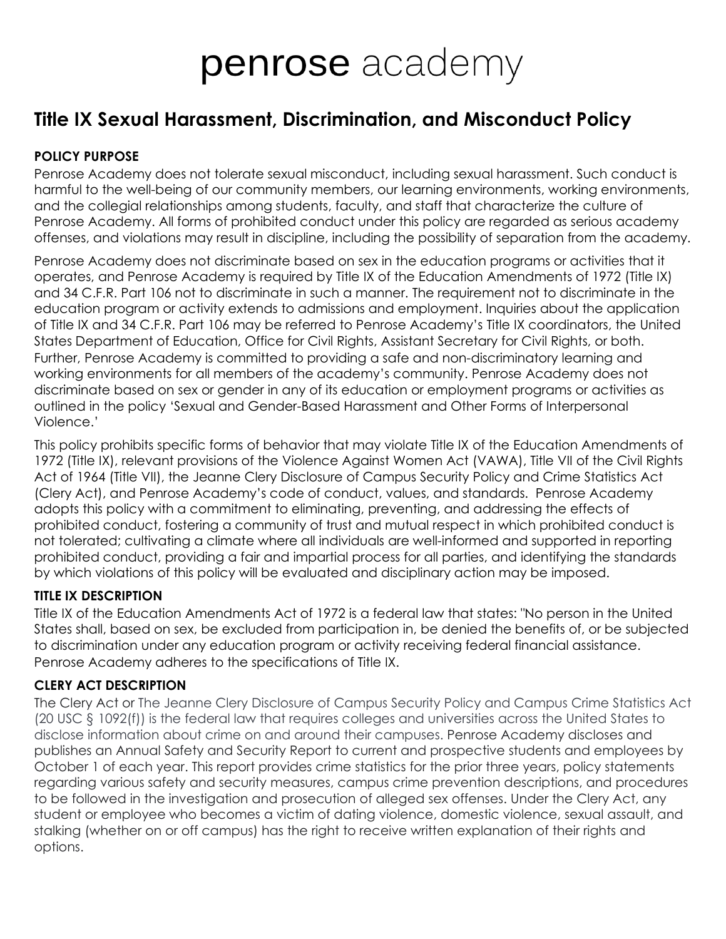# **penrose** academy

## **Title IX Sexual Harassment, Discrimination, and Misconduct Policy**

## **POLICY PURPOSE**

Penrose Academy does not tolerate sexual misconduct, including sexual harassment. Such conduct is harmful to the well-being of our community members, our learning environments, working environments, and the collegial relationships among students, faculty, and staff that characterize the culture of Penrose Academy. All forms of prohibited conduct under this policy are regarded as serious academy offenses, and violations may result in discipline, including the possibility of separation from the academy.

Penrose Academy does not discriminate based on sex in the education programs or activities that it operates, and Penrose Academy is required by Title IX of the Education Amendments of 1972 (Title IX) and 34 C.F.R. Part 106 not to discriminate in such a manner. The requirement not to discriminate in the education program or activity extends to admissions and employment. Inquiries about the application of Title IX and 34 C.F.R. Part 106 may be referred to Penrose Academy's Title IX coordinators, the United States Department of Education, Office for Civil Rights, Assistant Secretary for Civil Rights, or both. Further, Penrose Academy is committed to providing a safe and non-discriminatory learning and working environments for all members of the academy's community. Penrose Academy does not discriminate based on sex or gender in any of its education or employment programs or activities as outlined in the policy 'Sexual and Gender-Based Harassment and Other Forms of Interpersonal Violence.'

This policy prohibits specific forms of behavior that may violate Title IX of the Education Amendments of 1972 (Title IX), relevant provisions of the Violence Against Women Act (VAWA), Title VII of the Civil Rights Act of 1964 (Title VII), the Jeanne Clery Disclosure of Campus Security Policy and Crime Statistics Act (Clery Act), and Penrose Academy's code of conduct, values, and standards. Penrose Academy adopts this policy with a commitment to eliminating, preventing, and addressing the effects of prohibited conduct, fostering a community of trust and mutual respect in which prohibited conduct is not tolerated; cultivating a climate where all individuals are well-informed and supported in reporting prohibited conduct, providing a fair and impartial process for all parties, and identifying the standards by which violations of this policy will be evaluated and disciplinary action may be imposed.

## **TITLE IX DESCRIPTION**

Title IX of the Education Amendments Act of 1972 is a federal law that states: "No person in the United States shall, based on sex, be excluded from participation in, be denied the benefits of, or be subjected to discrimination under any education program or activity receiving federal financial assistance. Penrose Academy adheres to the specifications of Title IX.

## **CLERY ACT DESCRIPTION**

The Clery Act or The Jeanne Clery Disclosure of Campus Security Policy and Campus Crime Statistics Act (20 USC § 1092(f)) is the federal law that requires colleges and universities across the United States to disclose information about crime on and around their campuses. Penrose Academy discloses and publishes an Annual Safety and Security Report to current and prospective students and employees by October 1 of each year. This report provides crime statistics for the prior three years, policy statements regarding various safety and security measures, campus crime prevention descriptions, and procedures to be followed in the investigation and prosecution of alleged sex offenses. Under the Clery Act, any student or employee who becomes a victim of dating violence, domestic violence, sexual assault, and stalking (whether on or off campus) has the right to receive written explanation of their rights and options.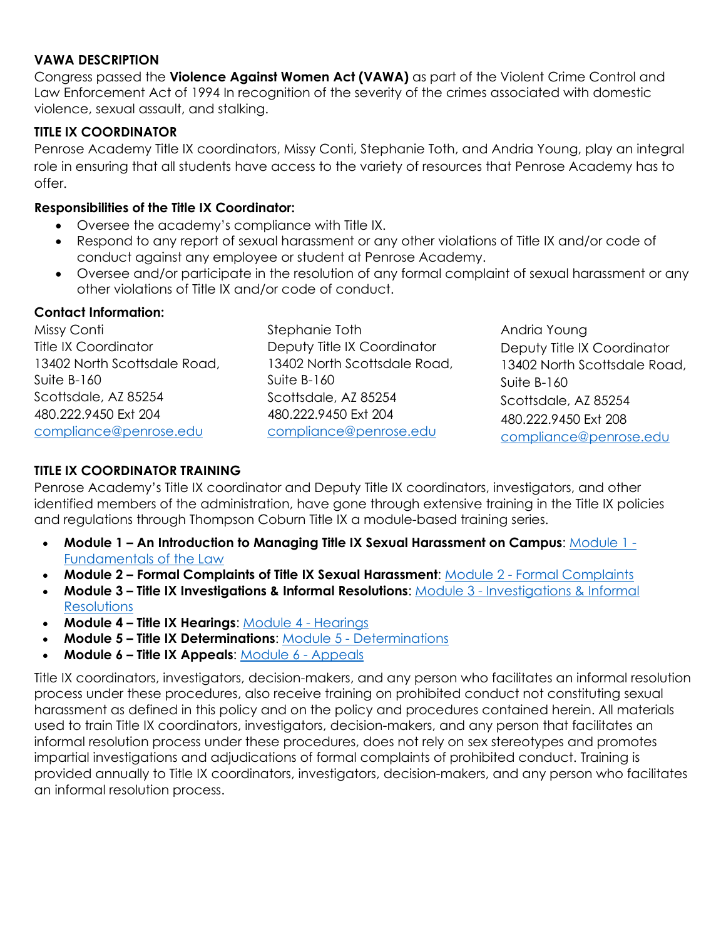#### **VAWA DESCRIPTION**

Congress passed the **Violence Against Women Act (VAWA)** as part of the Violent Crime Control and Law Enforcement Act of 1994 In recognition of the severity of the crimes associated with domestic violence, sexual assault, and stalking.

#### **TITLE IX COORDINATOR**

Penrose Academy Title IX coordinators, Missy Conti, Stephanie Toth, and Andria Young, play an integral role in ensuring that all students have access to the variety of resources that Penrose Academy has to offer.

#### **Responsibilities of the Title IX Coordinator:**

- Oversee the academy's compliance with Title IX.
- Respond to any report of sexual harassment or any other violations of Title IX and/or code of conduct against any employee or student at Penrose Academy.
- Oversee and/or participate in the resolution of any formal complaint of sexual harassment or any other violations of Title IX and/or code of conduct.

#### **Contact Information:**

Missy Conti Title IX Coordinator 13402 North Scottsdale Road, Suite B-160 Scottsdale, AZ 85254 480.222.9450 Ext 204 [compliance@penrose.edu](mailto:compliance@penrose.edu)

Stephanie Toth Deputy Title IX Coordinator 13402 North Scottsdale Road, Suite B-160 Scottsdale, AZ 85254 480.222.9450 Ext 204 [compliance@penrose.edu](mailto:compliance@penrose.edu) 

Andria Young Deputy Title IX Coordinator 13402 North Scottsdale Road, Suite B-160 Scottsdale, A<sub>7</sub>85254 480.222.9450 Ext 208 [compliance@penrose.edu](mailto:compliance@penrose.edu)

## **TITLE IX COORDINATOR TRAINING**

Penrose Academy's Title IX coordinator and Deputy Title IX coordinators, investigators, and other identified members of the administration, have gone through extensive training in the Title IX policies and regulations through Thompson Coburn Title IX a module-based training series.

- **Module 1 An Introduction to Managing Title IX Sexual Harassment on Campus**: [Module 1](https://secure-web.cisco.com/13VQMSe0MpclggQUU49Fg08C3o7kWNjIkR1nvQxUtyHa8auQ6WJJTzEUQwUDTKTBPYclr_-k-XTbwKy1dNuAFlH5u8d6kXmHS1Pd4ItWpMgjKs5G-_cdqQB6vEdTtPC5Eb-fUFysKGwg0ySFaxgaI1lG90Bo7h4mKZbKD86WcJplgk31nT8DTVtgM9Cf4twLBKxqF7fqptRHQNSLkxUUXL5vNYqUu7NXAZ5qELznQAjuoTRLQWAcsQYXOnNHLypUndykCUN7kSx-aKhwl3XekmQb3RQ-TEcDqUfMR7U_KMB18wOd3-3-c9txK0JgJEmSv0nqkHAmFNjNYi5DrNl278CusLVMN9Z5cTclmcqSvTU2g4Nul0pQ_3wN-LNIxWHWivq4LvXy1Yc34Am7J3XqJzB_cf31C-Pdp0gNDLRjPGGs/https%3A%2F%2Furldefense.com%2Fv3%2F__https%3A%2Fnam11.safelinks.protection.outlook.com%2F%3Furl%3Dhttps%2A3A%2A2F%2A2Furldefense.proofpoint.com%2A2Fv2%2A2Furl%2A3Fu%2A3Dhttps-3A__clicktime.symantec.com_3VKXKDYYzQGt2kaAjQwMazj7Vc-3Fu-3Dhttp-253A-252F-252Fcontent.thompsoncoburn.com-252Fvideo-252FModule-2D1-2DFundamentals-2Dof-2Dthe-2DLaw.mp4%2A26d%2A3DDwMGaQ%2A26c%2A3DtPYGtOWOAPojDil1cAsHpA%2A26r%2A3DcmMz9lxV7ky4WSZoeFa6JA%2A26m%2A3DDncMHAw4S4OZiKwOyGga9j8o-0Esif4-sX3sGrbZfl4%2A26s%2A3DESQEJnzxqKrEhkERRLMhoSty5qbkbXHJdZ0ZwBZ_2SU%2A26e%2A3D%26data%3D02%2A7C01%2A7Ccpascal%2A40nvcc.edu%2A7Cbfc254acb9d644fb031808d83f20a27b%2A7C9f05c0e4988c48288359193b3485e731%2A7C0%2A7C0%2A7C637328756685699832%26sdata%3DPbAmdspevHV0NrZ2tHV23qDrqPOih7P6cePeFjpMXP4%2A3D%26reserved%3D0__%3BJSUlJSUlJSUlJSUlJSUlJSUlJSUlJSUlJSUlJQ%21%21KayDUlYW7g%21-Or-D3pqNUGJ6tffgLm0HHJbhfaXdSsO-n8nE90fUgqP43B84FCEym9St-9MTcKmp8a-RfiW%24)  [Fundamentals of the Law](https://secure-web.cisco.com/13VQMSe0MpclggQUU49Fg08C3o7kWNjIkR1nvQxUtyHa8auQ6WJJTzEUQwUDTKTBPYclr_-k-XTbwKy1dNuAFlH5u8d6kXmHS1Pd4ItWpMgjKs5G-_cdqQB6vEdTtPC5Eb-fUFysKGwg0ySFaxgaI1lG90Bo7h4mKZbKD86WcJplgk31nT8DTVtgM9Cf4twLBKxqF7fqptRHQNSLkxUUXL5vNYqUu7NXAZ5qELznQAjuoTRLQWAcsQYXOnNHLypUndykCUN7kSx-aKhwl3XekmQb3RQ-TEcDqUfMR7U_KMB18wOd3-3-c9txK0JgJEmSv0nqkHAmFNjNYi5DrNl278CusLVMN9Z5cTclmcqSvTU2g4Nul0pQ_3wN-LNIxWHWivq4LvXy1Yc34Am7J3XqJzB_cf31C-Pdp0gNDLRjPGGs/https%3A%2F%2Furldefense.com%2Fv3%2F__https%3A%2Fnam11.safelinks.protection.outlook.com%2F%3Furl%3Dhttps%2A3A%2A2F%2A2Furldefense.proofpoint.com%2A2Fv2%2A2Furl%2A3Fu%2A3Dhttps-3A__clicktime.symantec.com_3VKXKDYYzQGt2kaAjQwMazj7Vc-3Fu-3Dhttp-253A-252F-252Fcontent.thompsoncoburn.com-252Fvideo-252FModule-2D1-2DFundamentals-2Dof-2Dthe-2DLaw.mp4%2A26d%2A3DDwMGaQ%2A26c%2A3DtPYGtOWOAPojDil1cAsHpA%2A26r%2A3DcmMz9lxV7ky4WSZoeFa6JA%2A26m%2A3DDncMHAw4S4OZiKwOyGga9j8o-0Esif4-sX3sGrbZfl4%2A26s%2A3DESQEJnzxqKrEhkERRLMhoSty5qbkbXHJdZ0ZwBZ_2SU%2A26e%2A3D%26data%3D02%2A7C01%2A7Ccpascal%2A40nvcc.edu%2A7Cbfc254acb9d644fb031808d83f20a27b%2A7C9f05c0e4988c48288359193b3485e731%2A7C0%2A7C0%2A7C637328756685699832%26sdata%3DPbAmdspevHV0NrZ2tHV23qDrqPOih7P6cePeFjpMXP4%2A3D%26reserved%3D0__%3BJSUlJSUlJSUlJSUlJSUlJSUlJSUlJSUlJSUlJQ%21%21KayDUlYW7g%21-Or-D3pqNUGJ6tffgLm0HHJbhfaXdSsO-n8nE90fUgqP43B84FCEym9St-9MTcKmp8a-RfiW%24)
- **Module 2 Formal Complaints of Title IX Sexual Harassment**: [Module 2 Formal Complaints](https://secure-web.cisco.com/1Ce65quzxLbOaN7HEPUGy2QgCz07gmHu1HsdEKLGucv4BJ9L_xBIzPMKU4wCXhKZleWUzI8l8yqgJYrM4jBs8SpHzM98z-H9IRnMhWUBRJ6G8-4TYojQ-RLCh13bmD9I_CdWSuepH5LnqHQR9XXiSZ5bY6Yvbf9u6vA0gPXUFHf2JQnW6ur6D1n0btyRs76yUntlg5zftF1REXWXRXQQG7qdci9nsBxe7ADnQaqnJjMoqz76lRxxd1_6FUk0yNlgMFMnJK80ZhNDH7xYF75InoAkYKHr90HL7XI8ofGtzS7XyIRGPtO81wk8rFTkf9GkCk6Oj-buIrOowbPiMFWceWXX0tu8oa4FdGtEfvMwB-jLPF5Oq-aMn3zKBXDmL8TmLyVOyduYctHbHVx44tmZi2nPup_2-foZeFz0XJZlqfcQ/https%3A%2F%2Furldefense.com%2Fv3%2F__https%3A%2Fnam11.safelinks.protection.outlook.com%2F%3Furl%3Dhttps%2A3A%2A2F%2A2Furldefense.proofpoint.com%2A2Fv2%2A2Furl%2A3Fu%2A3Dhttps-3A__clicktime.symantec.com_3DEYC8sZFJ4nNL4cb3kGgpP7Vc-3Fu-3Dhttp-253A-252F-252Fcontent.thompsoncoburn.com-252Fvideo-252FModule-2D2-2DFormal-2DComplaints.mp4%2A26d%2A3DDwMGaQ%2A26c%2A3DtPYGtOWOAPojDil1cAsHpA%2A26r%2A3DcmMz9lxV7ky4WSZoeFa6JA%2A26m%2A3DDncMHAw4S4OZiKwOyGga9j8o-0Esif4-sX3sGrbZfl4%2A26s%2A3DmC7h-ECtSEGdxJC_IQI7v8X6_ufhHkkbwb_X9SFfLnc%2A26e%2A3D%26data%3D02%2A7C01%2A7Ccpascal%2A40nvcc.edu%2A7Cbfc254acb9d644fb031808d83f20a27b%2A7C9f05c0e4988c48288359193b3485e731%2A7C0%2A7C0%2A7C637328756685699832%26sdata%3DC5gHUZRGV9TorB4quzuxBY%2A2FeL8LnGa%2A2BOk89v7TZ9wXY%2A3D%26reserved%3D0__%3BJSUlJSUlJSUlJSUlJSUlJSUlJSUlJSUlJSUlJSUl%21%21KayDUlYW7g%21-Or-D3pqNUGJ6tffgLm0HHJbhfaXdSsO-n8nE90fUgqP43B84FCEym9St-9MTcKmp8Gi6dZA%24)
- **Module 3 Title IX Investigations & Informal Resolutions**: [Module 3 Investigations & Informal](https://secure-web.cisco.com/1l1dMwDvrxmbpPYyxhtENE1figdvEmmaI6v_eKxrt0UwoQBxaaNI3VWLNC7jG0GHuYsSHVUsy2B9CaBL_pOdaOXYZLHBpLaIpw8BqZkDEGLYcecG9EdYwXIyosPqNFRg9Sgu3cvoSy3hGondVXv3em74UjEtu590SpwacaD9WYHGye5oN9vWWNvUmNRJo62kDIo45szRXLWN226a8hLMkkdcmIb1cjjtxGl2h2VN5O-KdsFywmZUusTcn4B8EpStdgO_LS3XSKbKG2cd92V6kTvuvB66BltEbgnZsSAZzHR0O3ehRpKo0hIqsjNZrPDy1_8pBKBF5-A0GbCrXjsi58A2YzA0tcUr3Suut9p9G4m6L9sgGjZoU2o2ptahCMaTiC1o_AD71R6OIE1cR-NlZ_sHYWk6c32vXDOp7IILyCDk/https%3A%2F%2Furldefense.com%2Fv3%2F__https%3A%2Fnam11.safelinks.protection.outlook.com%2F%3Furl%3Dhttps%2A3A%2A2F%2A2Furldefense.proofpoint.com%2A2Fv2%2A2Furl%2A3Fu%2A3Dhttps-3A__clicktime.symantec.com_3WRY1MML5KpsaQp4Yr8dFxX7Vc-3Fu-3Dhttp-253A-252F-252Fcontent.thompsoncoburn.com-252Fvideo-252FModule-2D3-2DInvestigations-2Dand-2DInformal-2DResolutions.mp4%2A26d%2A3DDwMGaQ%2A26c%2A3DtPYGtOWOAPojDil1cAsHpA%2A26r%2A3DcmMz9lxV7ky4WSZoeFa6JA%2A26m%2A3DDncMHAw4S4OZiKwOyGga9j8o-0Esif4-sX3sGrbZfl4%2A26s%2A3Dm1cKEwpmD3z0X-fZWUWT8AmugYRHIzNO5lctGHAkLac%2A26e%2A3D%26data%3D02%2A7C01%2A7Ccpascal%2A40nvcc.edu%2A7Cbfc254acb9d644fb031808d83f20a27b%2A7C9f05c0e4988c48288359193b3485e731%2A7C0%2A7C0%2A7C637328756685709826%26sdata%3DzDzaSN3bvGALrAl27B9%2A2FSf8I0B6NCp8wce1%2A2FJRzZmbY%2A3D%26reserved%3D0__%3BJSUlJSUlJSUlJSUlJSUlJSUlJSUlJSUlJSUlJSUl%21%21KayDUlYW7g%21-Or-D3pqNUGJ6tffgLm0HHJbhfaXdSsO-n8nE90fUgqP43B84FCEym9St-9MTcKmp4XChE67%24)  **Resolutions**
- **Module 4 Title IX Hearings**: [Module 4 Hearings](https://secure-web.cisco.com/12oLgJOvdnyncBIDTGslOPKTuTE_WT7pT6W5FEQ0RPCirlYeybJrvio5L-9oAMLhkt-9487k2LS9yn2fQAnub95VMgv3CwlgjqyTlmIh_Blth7jBW4edfKxx2An9inynetd44oHFkKGyH3Ky8EUI2AO3Lijb96YbZLp09j4E6dxWcmV61KnDyaa17ItadBU7ApR6wOVuBqBDxHAUYh6Su879fJxYHcdN3TVNXceFiy1lV1k3raamrj1-cbt2JhOyO7uvfiZG38qcBTcL_DfTIA9A4UCMN7Faig6KXjQkog4_1hSYoBgfRGX70ftqJesQaEVf7r6IhVy8k2rRXeovzCKfXxIlYVyf_jO826QT47zCsNsrm8oZvJp0sq42WkQFmWh4BhWea4qCuk9v-92W1zzUgC-FMv8AHjxlHV6Fydz8/https%3A%2F%2Furldefense.com%2Fv3%2F__https%3A%2Fnam11.safelinks.protection.outlook.com%2F%3Furl%3Dhttps%2A3A%2A2F%2A2Furldefense.proofpoint.com%2A2Fv2%2A2Furl%2A3Fu%2A3Dhttps-3A__clicktime.symantec.com_33K5LANN67nWyeFkzjoJ6bp7Vc-3Fu-3Dhttp-253A-252F-252Fcontent.thompsoncoburn.com-252Fvideo-252FModule-2D4-2DHearings.mp4%2A26d%2A3DDwMGaQ%2A26c%2A3DtPYGtOWOAPojDil1cAsHpA%2A26r%2A3DcmMz9lxV7ky4WSZoeFa6JA%2A26m%2A3DDncMHAw4S4OZiKwOyGga9j8o-0Esif4-sX3sGrbZfl4%2A26s%2A3Da8kbJ7kUfJSuYKrK6dkwg-16HSQWmV2LQQh-_ybfPl0%2A26e%2A3D%26data%3D02%2A7C01%2A7Ccpascal%2A40nvcc.edu%2A7Cbfc254acb9d644fb031808d83f20a27b%2A7C9f05c0e4988c48288359193b3485e731%2A7C0%2A7C0%2A7C637328756685709826%26sdata%3DHvpXHW1aTPwWVsBJ3kLWcv7GGwkeztmL73KeD40AguU%2A3D%26reserved%3D0__%3BJSUlJSUlJSUlJSUlJSUlJSUlJSUlJSUlJSUlJQ%21%21KayDUlYW7g%21-Or-D3pqNUGJ6tffgLm0HHJbhfaXdSsO-n8nE90fUgqP43B84FCEym9St-9MTcKmp-toa73h%24)
- **Module 5 Title IX Determinations**: [Module 5 Determinations](https://secure-web.cisco.com/1MYcEbV7E55s9j54q_mxo2Hgwg1zn_FDos8JbPDbX81DSV2xyiKI3UVZyga7wDRvnGihEyU76rbGoX68VoPatO8ckSjL_fREf2kJq6kMP3A6Kzvr1Ow6OBcfpMUj9EUzQ-dKOJ2yc-35pH6ox_7XVibtxqYk-kxMdbhE_yXYdscNwe7MR1fUS0_FNb0md9L4Wg2FfAKUZ3K2zsCTFvMLH_uHdsicH6gqKihN_lEvthiDz7pvs1R4o86RSoKz8B0PCkN7bFAuIM6I9rhxnIF2YeVOAiBRIij63A16x_O628EDM9f2hKVrsa5FekxL0n25eeGWxNzkAdYg-LH547WqKftiQIw3sl7SQ5D2j0kJ2XjOepEJnkZAvARMc23XbLZELhYtXpRveXNIwEbJFg_YRe9lJ7A7GOlY1Ng6Xg5GFy_I/https%3A%2F%2Furldefense.com%2Fv3%2F__https%3A%2Fnam11.safelinks.protection.outlook.com%2F%3Furl%3Dhttps%2A3A%2A2F%2A2Furldefense.proofpoint.com%2A2Fv2%2A2Furl%2A3Fu%2A3Dhttps-3A__clicktime.symantec.com_3SRrG6F9o4z5B3ozmuLeo3L7Vc-3Fu-3Dhttp-253A-252F-252Fcontent.thompsoncoburn.com-252Fvideo-252FModule-2D5-2DDeterminations.mp4%2A26d%2A3DDwMGaQ%2A26c%2A3DtPYGtOWOAPojDil1cAsHpA%2A26r%2A3DcmMz9lxV7ky4WSZoeFa6JA%2A26m%2A3DDncMHAw4S4OZiKwOyGga9j8o-0Esif4-sX3sGrbZfl4%2A26s%2A3DQFgKmMbdt6zMZzsBxO1SAiQpofk-OJthd1z0l0M0zOM%2A26e%2A3D%26data%3D02%2A7C01%2A7Ccpascal%2A40nvcc.edu%2A7Cbfc254acb9d644fb031808d83f20a27b%2A7C9f05c0e4988c48288359193b3485e731%2A7C0%2A7C0%2A7C637328756685719823%26sdata%3DqmRDdskvPdOVhw9st%2A2FyEKPY9snAMWb3BfpQgvd44lss%2A3D%26reserved%3D0__%3BJSUlJSUlJSUlJSUlJSUlJSUlJSUlJSUlJSUlJSU%21%21KayDUlYW7g%21-Or-D3pqNUGJ6tffgLm0HHJbhfaXdSsO-n8nE90fUgqP43B84FCEym9St-9MTcKmp_4NExol%24)
- **Module 6 Title IX Appeals**: [Module 6 Appeals](https://secure-web.cisco.com/1ihc_y-PLDEouZS-4bHpHFw1lj35pf2Vn31k4H3rDA4fOE8XOpulPHaGOiolqCLrF5D5rz_v9-kHb2mdyDH6sIlCZtpqF8RriMzByfnV-Cln8Y0E063DCmxEi-8WJAhnAuX0nDVQuJp678nmUmZ-xNlnc1R6Umchs1piT3dll7BIbzaBo9xjUJZWRIfOTa40SN8xGupsVrVtA4YsNJFXcDSLC9N4nffvA1-xfzPAbpsmGWLIE-57SOhSggFwhs4zyFATna2csUAobffYx4MN4imLE4c8j7VKcPcZoF7vVoe5tlqcbRCd4xA0xPHo9-4o5XMsfxBls_cKjPgNkiyrlcN02ah7Ap5BcGsTXiE3XOge27ynASKoqqDn3KgN0k4UB_L2sZ_sSOjxKTQKx2FzEskYvmGwvOzdjI9Z7Btkhr4U/https%3A%2F%2Furldefense.com%2Fv3%2F__https%3A%2Fnam11.safelinks.protection.outlook.com%2F%3Furl%3Dhttps%2A3A%2A2F%2A2Furldefense.proofpoint.com%2A2Fv2%2A2Furl%2A3Fu%2A3Dhttps-3A__clicktime.symantec.com_3VNRmWwS3R2ZwtPx3qTT5e47Vc-3Fu-3Dhttp-253A-252F-252Fcontent.thompsoncoburn.com-252Fvideo-252FModule-2D6-2DAppeals.mp4%2A26d%2A3DDwMGaQ%2A26c%2A3DtPYGtOWOAPojDil1cAsHpA%2A26r%2A3DcmMz9lxV7ky4WSZoeFa6JA%2A26m%2A3DDncMHAw4S4OZiKwOyGga9j8o-0Esif4-sX3sGrbZfl4%2A26s%2A3D5QAfXbTZDi26UprQO_rmZeeByHR1nsF8w2Uf2954VVQ%2A26e%2A3D%26data%3D02%2A7C01%2A7Ccpascal%2A40nvcc.edu%2A7Cbfc254acb9d644fb031808d83f20a27b%2A7C9f05c0e4988c48288359193b3485e731%2A7C0%2A7C0%2A7C637328756685729815%26sdata%3D6jc0xui5uY0MovPRYBvdErqR5Iph7%2A2Fbts9Fx6IFkN6g%2A3D%26reserved%3D0__%3BJSUlJSUlJSUlJSUlJSUlJSUlJSUlJSUlJSUlJSU%21%21KayDUlYW7g%21-Or-D3pqNUGJ6tffgLm0HHJbhfaXdSsO-n8nE90fUgqP43B84FCEym9St-9MTcKmp7C3k6Pg%24)

Title IX coordinators, investigators, decision-makers, and any person who facilitates an informal resolution process under these procedures, also receive training on prohibited conduct not constituting sexual harassment as defined in this policy and on the policy and procedures contained herein. All materials used to train Title IX coordinators, investigators, decision-makers, and any person that facilitates an informal resolution process under these procedures, does not rely on sex stereotypes and promotes impartial investigations and adjudications of formal complaints of prohibited conduct. Training is provided annually to Title IX coordinators, investigators, decision-makers, and any person who facilitates an informal resolution process.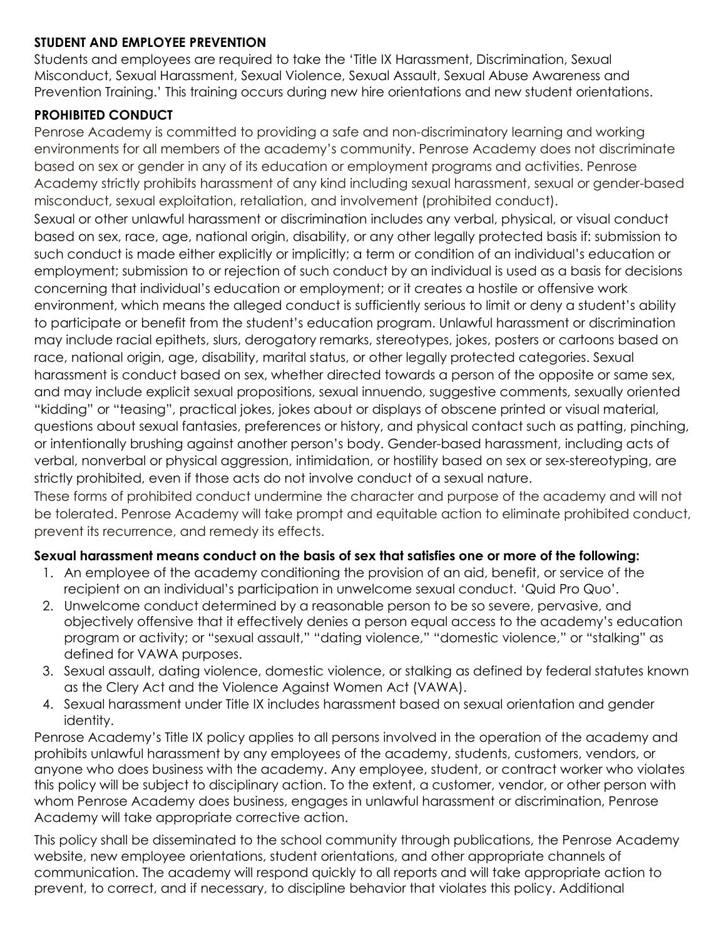#### **STUDENT AND EMPLOYEE PREVENTION**

Students and employees are required to take the 'Title IX Harassment, Discrimination, Sexual Misconduct, Sexual Harassment, Sexual Violence, Sexual Assault, Sexual Abuse Awareness and Prevention Training.' This training occurs during new hire orientations and new student orientations.

## **PROHIBITED CONDUCT**

Penrose Academy is committed to providing a safe and non-discriminatory learning and working environments for all members of the academy's community. Penrose Academy does not discriminate based on sex or gender in any of its education or employment programs and activities. Penrose Academy strictly prohibits harassment of any kind including sexual harassment, sexual or gender-based misconduct, sexual exploitation, retaliation, and involvement (prohibited conduct).

Sexual or other unlawful harassment or discrimination includes any verbal, physical, or visual conduct based on sex, race, age, national origin, disability, or any other legally protected basis if: submission to such conduct is made either explicitly or implicitly; a term or condition of an individual's education or employment; submission to or rejection of such conduct by an individual is used as a basis for decisions concerning that individual's education or employment; or it creates a hostile or offensive work environment, which means the alleged conduct is sufficiently serious to limit or deny a student's ability to participate or benefit from the student's education program. Unlawful harassment or discrimination may include racial epithets, slurs, derogatory remarks, stereotypes, jokes, posters or cartoons based on race, national origin, age, disability, marital status, or other legally protected categories. Sexual harassment is conduct based on sex, whether directed towards a person of the opposite or same sex, and may include explicit sexual propositions, sexual innuendo, suggestive comments, sexually oriented "kidding" or "teasing", practical jokes, jokes about or displays of obscene printed or visual material, questions about sexual fantasies, preferences or history, and physical contact such as patting, pinching, or intentionally brushing against another person's body. Gender-based harassment, including acts of verbal, nonverbal or physical aggression, intimidation, or hostility based on sex or sex-stereotyping, are strictly prohibited, even if those acts do not involve conduct of a sexual nature.

These forms of prohibited conduct undermine the character and purpose of the academy and will not be tolerated. Penrose Academy will take prompt and equitable action to eliminate prohibited conduct, prevent its recurrence, and remedy its effects.

## **Sexual harassment means conduct on the basis of sex that satisfies one or more of the following:**

- 1. An employee of the academy conditioning the provision of an aid, benefit, or service of the recipient on an individual's participation in unwelcome sexual conduct. 'Quid Pro Quo'.
- 2. Unwelcome conduct determined by a reasonable person to be so severe, pervasive, and objectively offensive that it effectively denies a person equal access to the academy's education program or activity; or "sexual assault," "dating violence," "domestic violence," or "stalking" as defined for VAWA purposes.
- 3. Sexual assault, dating violence, domestic violence, or stalking as defined by federal statutes known as the Clery Act and the Violence Against Women Act (VAWA).
- 4. Sexual harassment under Title IX includes harassment based on sexual orientation and gender identity.

Penrose Academy's Title IX policy applies to all persons involved in the operation of the academy and prohibits unlawful harassment by any employees of the academy, students, customers, vendors, or anyone who does business with the academy. Any employee, student, or contract worker who violates this policy will be subject to disciplinary action. To the extent, a customer, vendor, or other person with whom Penrose Academy does business, engages in unlawful harassment or discrimination, Penrose Academy will take appropriate corrective action.

This policy shall be disseminated to the school community through publications, the Penrose Academy website, new employee orientations, student orientations, and other appropriate channels of communication. The academy will respond quickly to all reports and will take appropriate action to prevent, to correct, and if necessary, to discipline behavior that violates this policy. Additional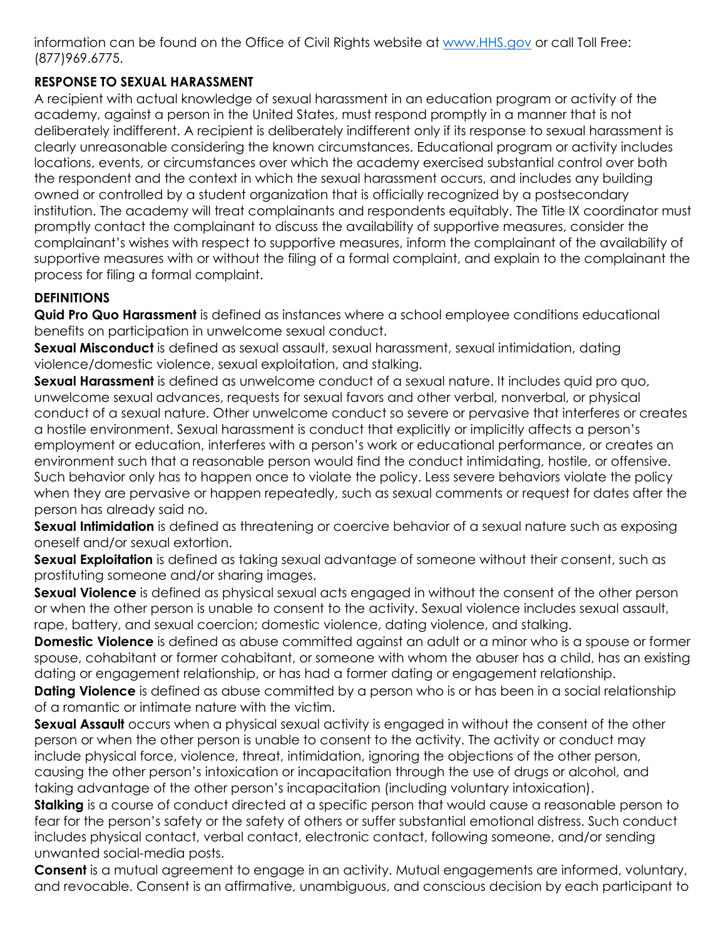information can be found on the Office of Civil Rights website at [www.HHS.gov](https://www.hhs.gov/) or call Toll Free: (877)969.6775.

## **RESPONSE TO SEXUAL HARASSMENT**

A recipient with actual knowledge of sexual harassment in an education program or activity of the academy, against a person in the United States, must respond promptly in a manner that is not deliberately indifferent. A recipient is deliberately indifferent only if its response to sexual harassment is clearly unreasonable considering the known circumstances. Educational program or activity includes locations, events, or circumstances over which the academy exercised substantial control over both the respondent and the context in which the sexual harassment occurs, and includes any building owned or controlled by a student organization that is officially recognized by a postsecondary institution. The academy will treat complainants and respondents equitably. The Title IX coordinator must promptly contact the complainant to discuss the availability of supportive measures, consider the complainant's wishes with respect to supportive measures, inform the complainant of the availability of supportive measures with or without the filing of a formal complaint, and explain to the complainant the process for filing a formal complaint.

## **DEFINITIONS**

**Quid Pro Quo Harassment** is defined as instances where a school employee conditions educational benefits on participation in unwelcome sexual conduct.

**Sexual Misconduct** is defined as sexual assault, sexual harassment, sexual intimidation, dating violence/domestic violence, sexual exploitation, and stalking.

**Sexual Harassment** is defined as unwelcome conduct of a sexual nature. It includes quid pro quo, unwelcome sexual advances, requests for sexual favors and other verbal, nonverbal, or physical conduct of a sexual nature. Other unwelcome conduct so severe or pervasive that interferes or creates a hostile environment. Sexual harassment is conduct that explicitly or implicitly affects a person's employment or education, interferes with a person's work or educational performance, or creates an environment such that a reasonable person would find the conduct intimidating, hostile, or offensive. Such behavior only has to happen once to violate the policy. Less severe behaviors violate the policy when they are pervasive or happen repeatedly, such as sexual comments or request for dates after the person has already said no.

**Sexual Intimidation** is defined as threatening or coercive behavior of a sexual nature such as exposing oneself and/or sexual extortion.

**Sexual Exploitation** is defined as taking sexual advantage of someone without their consent, such as prostituting someone and/or sharing images.

**Sexual Violence** is defined as physical sexual acts engaged in without the consent of the other person or when the other person is unable to consent to the activity. Sexual violence includes sexual assault, rape, battery, and sexual coercion; domestic violence, dating violence, and stalking.

**Domestic Violence** is defined as abuse committed against an adult or a minor who is a spouse or former spouse, cohabitant or former cohabitant, or someone with whom the abuser has a child, has an existing dating or engagement relationship, or has had a former dating or engagement relationship.

**Dating Violence** is defined as abuse committed by a person who is or has been in a social relationship of a romantic or intimate nature with the victim.

**Sexual Assault** occurs when a physical sexual activity is engaged in without the consent of the other person or when the other person is unable to consent to the activity. The activity or conduct may include physical force, violence, threat, intimidation, ignoring the objections of the other person, causing the other person's intoxication or incapacitation through the use of drugs or alcohol, and taking advantage of the other person's incapacitation (including voluntary intoxication).

**Stalking** is a course of conduct directed at a specific person that would cause a reasonable person to fear for the person's safety or the safety of others or suffer substantial emotional distress. Such conduct includes physical contact, verbal contact, electronic contact, following someone, and/or sending unwanted social-media posts.

**Consent** is a mutual agreement to engage in an activity. Mutual engagements are informed, voluntary, and revocable. Consent is an affirmative, unambiguous, and conscious decision by each participant to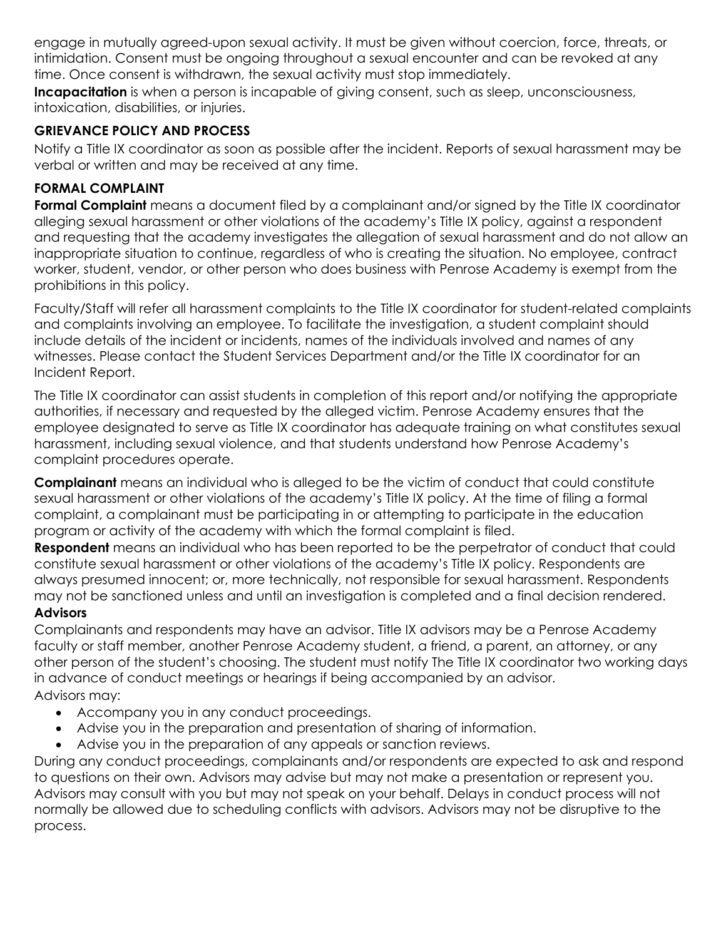engage in mutually agreed-upon sexual activity. It must be given without coercion, force, threats, or intimidation. Consent must be ongoing throughout a sexual encounter and can be revoked at any time. Once consent is withdrawn, the sexual activity must stop immediately.

**Incapacitation** is when a person is incapable of giving consent, such as sleep, unconsciousness, intoxication, disabilities, or injuries.

## **GRIEVANCE POLICY AND PROCESS**

Notify a Title IX coordinator as soon as possible after the incident. Reports of sexual harassment may be verbal or written and may be received at any time.

## **FORMAL COMPLAINT**

**Formal Complaint** means a document filed by a complainant and/or signed by the Title IX coordinator alleging sexual harassment or other violations of the academy's Title IX policy, against a respondent and requesting that the academy investigates the allegation of sexual harassment and do not allow an inappropriate situation to continue, regardless of who is creating the situation. No employee, contract worker, student, vendor, or other person who does business with Penrose Academy is exempt from the prohibitions in this policy.

Faculty/Staff will refer all harassment complaints to the Title IX coordinator for student-related complaints and complaints involving an employee. To facilitate the investigation, a student complaint should include details of the incident or incidents, names of the individuals involved and names of any witnesses. Please contact the Student Services Department and/or the Title IX coordinator for an Incident Report.

The Title IX coordinator can assist students in completion of this report and/or notifying the appropriate authorities, if necessary and requested by the alleged victim. Penrose Academy ensures that the employee designated to serve as Title IX coordinator has adequate training on what constitutes sexual harassment, including sexual violence, and that students understand how Penrose Academy's complaint procedures operate.

**Complainant** means an individual who is alleged to be the victim of conduct that could constitute sexual harassment or other violations of the academy's Title IX policy. At the time of filing a formal complaint, a complainant must be participating in or attempting to participate in the education program or activity of the academy with which the formal complaint is filed.

**Respondent** means an individual who has been reported to be the perpetrator of conduct that could constitute sexual harassment or other violations of the academy's Title IX policy. Respondents are always presumed innocent; or, more technically, not responsible for sexual harassment. Respondents may not be sanctioned unless and until an investigation is completed and a final decision rendered.

## **Advisors**

Complainants and respondents may have an advisor. Title IX advisors may be a Penrose Academy faculty or staff member, another Penrose Academy student, a friend, a parent, an attorney, or any other person of the student's choosing. The student must notify The Title IX coordinator two working days in advance of conduct meetings or hearings if being accompanied by an advisor. Advisors may:

- Accompany you in any conduct proceedings.
- Advise you in the preparation and presentation of sharing of information.
- Advise you in the preparation of any appeals or sanction reviews.

During any conduct proceedings, complainants and/or respondents are expected to ask and respond to questions on their own. Advisors may advise but may not make a presentation or represent you. Advisors may consult with you but may not speak on your behalf. Delays in conduct process will not normally be allowed due to scheduling conflicts with advisors. Advisors may not be disruptive to the process.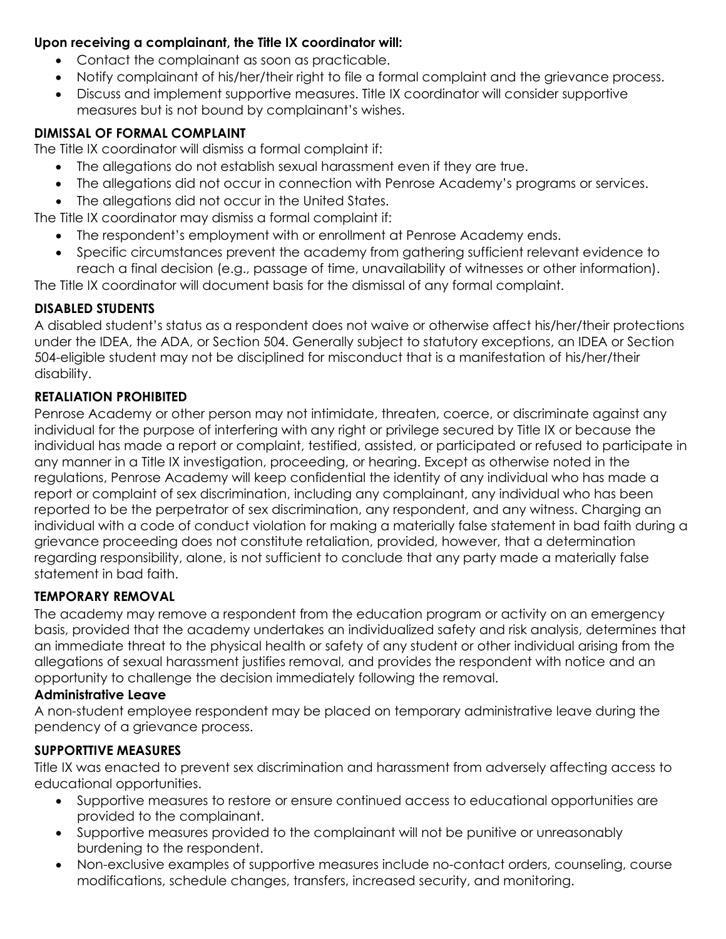#### **Upon receiving a complainant, the Title IX coordinator will:**

- Contact the complainant as soon as practicable.
- Notify complainant of his/her/their right to file a formal complaint and the grievance process.
- Discuss and implement supportive measures. Title IX coordinator will consider supportive measures but is not bound by complainant's wishes.

## **DIMISSAL OF FORMAL COMPLAINT**

The Title IX coordinator will dismiss a formal complaint if:

- The allegations do not establish sexual harassment even if they are true.
- The allegations did not occur in connection with Penrose Academy's programs or services.
- The allegations did not occur in the United States.

The Title IX coordinator may dismiss a formal complaint if:

- The respondent's employment with or enrollment at Penrose Academy ends.
- Specific circumstances prevent the academy from gathering sufficient relevant evidence to reach a final decision (e.g., passage of time, unavailability of witnesses or other information).

The Title IX coordinator will document basis for the dismissal of any formal complaint.

## **DISABLED STUDENTS**

A disabled student's status as a respondent does not waive or otherwise affect his/her/their protections under the IDEA, the ADA, or Section 504. Generally subject to statutory exceptions, an IDEA or Section 504-eligible student may not be disciplined for misconduct that is a manifestation of his/her/their disability.

## **RETALIATION PROHIBITED**

Penrose Academy or other person may not intimidate, threaten, coerce, or discriminate against any individual for the purpose of interfering with any right or privilege secured by Title IX or because the individual has made a report or complaint, testified, assisted, or participated or refused to participate in any manner in a Title IX investigation, proceeding, or hearing. Except as otherwise noted in the regulations, Penrose Academy will keep confidential the identity of any individual who has made a report or complaint of sex discrimination, including any complainant, any individual who has been reported to be the perpetrator of sex discrimination, any respondent, and any witness. Charging an individual with a code of conduct violation for making a materially false statement in bad faith during a grievance proceeding does not constitute retaliation, provided, however, that a determination regarding responsibility, alone, is not sufficient to conclude that any party made a materially false statement in bad faith.

## **TEMPORARY REMOVAL**

The academy may remove a respondent from the education program or activity on an emergency basis, provided that the academy undertakes an individualized safety and risk analysis, determines that an immediate threat to the physical health or safety of any student or other individual arising from the allegations of sexual harassment justifies removal, and provides the respondent with notice and an opportunity to challenge the decision immediately following the removal.

## **Administrative Leave**

A non-student employee respondent may be placed on temporary administrative leave during the pendency of a grievance process.

## **SUPPORTTIVE MEASURES**

Title IX was enacted to prevent sex discrimination and harassment from adversely affecting access to educational opportunities.

- Supportive measures to restore or ensure continued access to educational opportunities are provided to the complainant.
- Supportive measures provided to the complainant will not be punitive or unreasonably burdening to the respondent.
- Non-exclusive examples of supportive measures include no-contact orders, counseling, course modifications, schedule changes, transfers, increased security, and monitoring.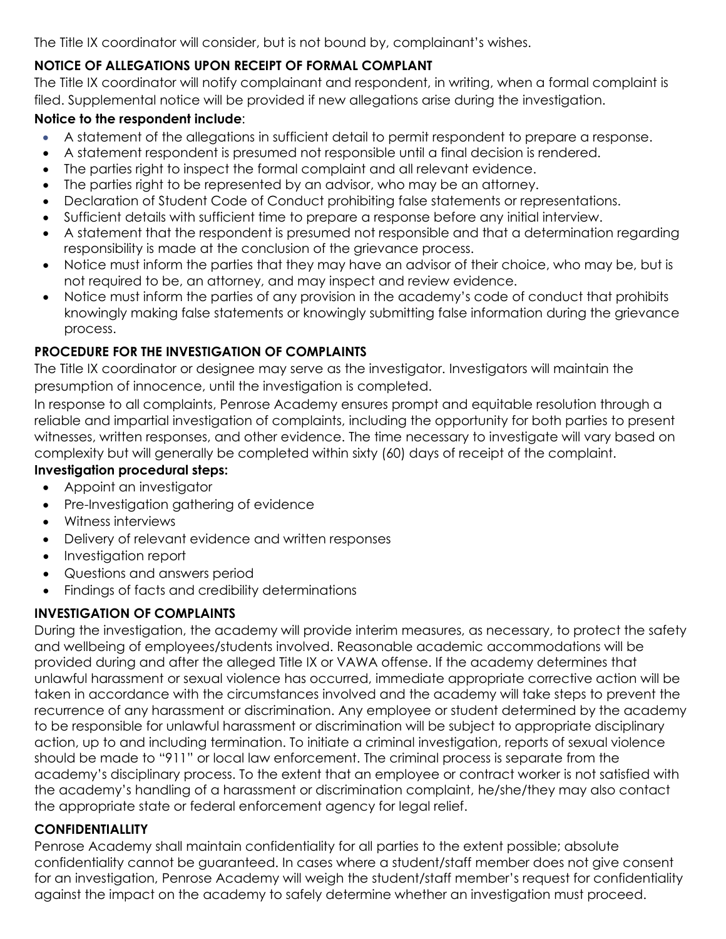The Title IX coordinator will consider, but is not bound by, complainant's wishes.

## **NOTICE OF ALLEGATIONS UPON RECEIPT OF FORMAL COMPLANT**

The Title IX coordinator will notify complainant and respondent, in writing, when a formal complaint is filed. Supplemental notice will be provided if new allegations arise during the investigation.

## **Notice to the respondent include**:

- A statement of the allegations in sufficient detail to permit respondent to prepare a response.
- A statement respondent is presumed not responsible until a final decision is rendered.
- The parties right to inspect the formal complaint and all relevant evidence.
- The parties right to be represented by an advisor, who may be an attorney.
- Declaration of Student Code of Conduct prohibiting false statements or representations.
- Sufficient details with sufficient time to prepare a response before any initial interview.
- A statement that the respondent is presumed not responsible and that a determination regarding responsibility is made at the conclusion of the grievance process.
- Notice must inform the parties that they may have an advisor of their choice, who may be, but is not required to be, an attorney, and may inspect and review evidence.
- Notice must inform the parties of any provision in the academy's code of conduct that prohibits knowingly making false statements or knowingly submitting false information during the grievance process.

## **PROCEDURE FOR THE INVESTIGATION OF COMPLAINTS**

The Title IX coordinator or designee may serve as the investigator. Investigators will maintain the presumption of innocence, until the investigation is completed.

In response to all complaints, Penrose Academy ensures prompt and equitable resolution through a reliable and impartial investigation of complaints, including the opportunity for both parties to present witnesses, written responses, and other evidence. The time necessary to investigate will vary based on complexity but will generally be completed within sixty (60) days of receipt of the complaint.

## **Investigation procedural steps:**

- Appoint an investigator
- Pre-Investigation gathering of evidence
- Witness interviews
- Delivery of relevant evidence and written responses
- Investigation report
- Questions and answers period
- Findings of facts and credibility determinations

## **INVESTIGATION OF COMPLAINTS**

During the investigation, the academy will provide interim measures, as necessary, to protect the safety and wellbeing of employees/students involved. Reasonable academic accommodations will be provided during and after the alleged Title IX or VAWA offense. If the academy determines that unlawful harassment or sexual violence has occurred, immediate appropriate corrective action will be taken in accordance with the circumstances involved and the academy will take steps to prevent the recurrence of any harassment or discrimination. Any employee or student determined by the academy to be responsible for unlawful harassment or discrimination will be subject to appropriate disciplinary action, up to and including termination. To initiate a criminal investigation, reports of sexual violence should be made to "911" or local law enforcement. The criminal process is separate from the academy's disciplinary process. To the extent that an employee or contract worker is not satisfied with the academy's handling of a harassment or discrimination complaint, he/she/they may also contact the appropriate state or federal enforcement agency for legal relief.

## **CONFIDENTIALLITY**

Penrose Academy shall maintain confidentiality for all parties to the extent possible; absolute confidentiality cannot be guaranteed. In cases where a student/staff member does not give consent for an investigation, Penrose Academy will weigh the student/staff member's request for confidentiality against the impact on the academy to safely determine whether an investigation must proceed.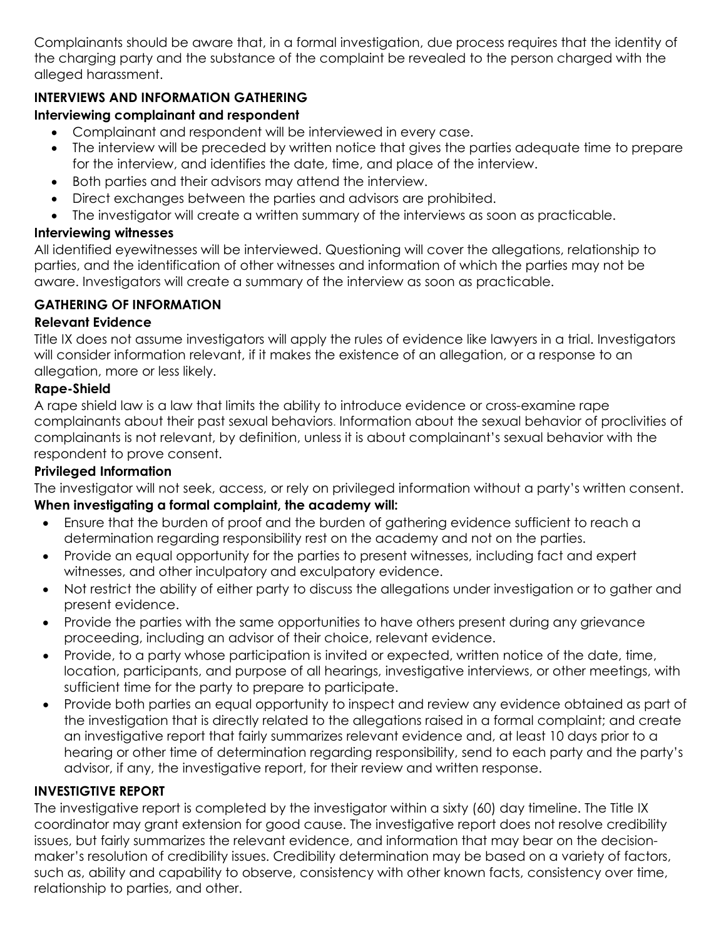Complainants should be aware that, in a formal investigation, due process requires that the identity of the charging party and the substance of the complaint be revealed to the person charged with the alleged harassment.

## **INTERVIEWS AND INFORMATION GATHERING**

## **Interviewing complainant and respondent**

- Complainant and respondent will be interviewed in every case.
- The interview will be preceded by written notice that gives the parties adequate time to prepare for the interview, and identifies the date, time, and place of the interview.
- Both parties and their advisors may attend the interview.
- Direct exchanges between the parties and advisors are prohibited.
- The investigator will create a written summary of the interviews as soon as practicable.

#### **Interviewing witnesses**

All identified eyewitnesses will be interviewed. Questioning will cover the allegations, relationship to parties, and the identification of other witnesses and information of which the parties may not be aware. Investigators will create a summary of the interview as soon as practicable.

## **GATHERING OF INFORMATION**

#### **Relevant Evidence**

Title IX does not assume investigators will apply the rules of evidence like lawyers in a trial. Investigators will consider information relevant, if it makes the existence of an allegation, or a response to an allegation, more or less likely.

## **Rape-Shield**

A rape shield law is a law that limits the ability to introduce evidence or cross-examine rape complainants about their past sexual behaviors. Information about the sexual behavior of proclivities of complainants is not relevant, by definition, unless it is about complainant's sexual behavior with the respondent to prove consent.

#### **Privileged Information**

The investigator will not seek, access, or rely on privileged information without a party's written consent.

## **When investigating a formal complaint, the academy will:**

- Ensure that the burden of proof and the burden of gathering evidence sufficient to reach a determination regarding responsibility rest on the academy and not on the parties.
- Provide an equal opportunity for the parties to present witnesses, including fact and expert witnesses, and other inculpatory and exculpatory evidence.
- Not restrict the ability of either party to discuss the allegations under investigation or to gather and present evidence.
- Provide the parties with the same opportunities to have others present during any grievance proceeding, including an advisor of their choice, relevant evidence.
- Provide, to a party whose participation is invited or expected, written notice of the date, time, location, participants, and purpose of all hearings, investigative interviews, or other meetings, with sufficient time for the party to prepare to participate.
- Provide both parties an equal opportunity to inspect and review any evidence obtained as part of the investigation that is directly related to the allegations raised in a formal complaint; and create an investigative report that fairly summarizes relevant evidence and, at least 10 days prior to a hearing or other time of determination regarding responsibility, send to each party and the party's advisor, if any, the investigative report, for their review and written response.

## **INVESTIGTIVE REPORT**

The investigative report is completed by the investigator within a sixty (60) day timeline. The Title IX coordinator may grant extension for good cause. The investigative report does not resolve credibility issues, but fairly summarizes the relevant evidence, and information that may bear on the decisionmaker's resolution of credibility issues. Credibility determination may be based on a variety of factors, such as, ability and capability to observe, consistency with other known facts, consistency over time, relationship to parties, and other.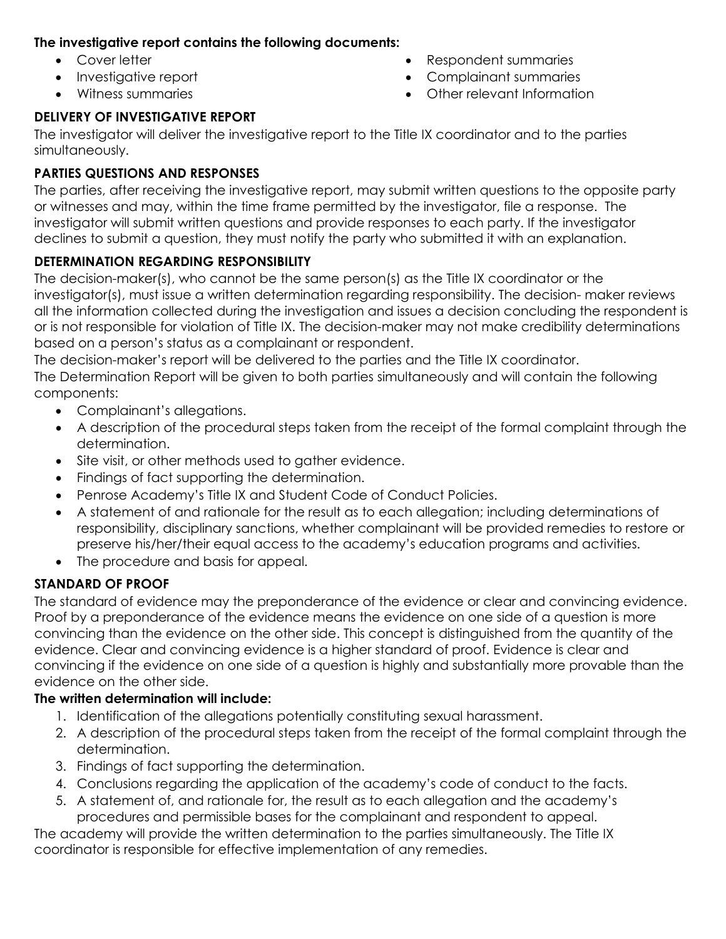## **The investigative report contains the following documents:**

- Cover letter
- Investigative report
- Witness summaries

## • Respondent summaries

- Complainant summaries
- Other relevant Information

## **DELIVERY OF INVESTIGATIVE REPORT**

The investigator will deliver the investigative report to the Title IX coordinator and to the parties simultaneously.

## **PARTIES QUESTIONS AND RESPONSES**

The parties, after receiving the investigative report, may submit written questions to the opposite party or witnesses and may, within the time frame permitted by the investigator, file a response. The investigator will submit written questions and provide responses to each party. If the investigator declines to submit a question, they must notify the party who submitted it with an explanation.

## **DETERMINATION REGARDING RESPONSIBILITY**

The decision-maker(s), who cannot be the same person(s) as the Title IX coordinator or the investigator(s), must issue a written determination regarding responsibility. The decision- maker reviews all the information collected during the investigation and issues a decision concluding the respondent is or is not responsible for violation of Title IX. The decision-maker may not make credibility determinations based on a person's status as a complainant or respondent.

The decision-maker's report will be delivered to the parties and the Title IX coordinator.

The Determination Report will be given to both parties simultaneously and will contain the following components:

- Complainant's allegations.
- A description of the procedural steps taken from the receipt of the formal complaint through the determination.
- Site visit, or other methods used to gather evidence.
- Findings of fact supporting the determination.
- Penrose Academy's Title IX and Student Code of Conduct Policies.
- A statement of and rationale for the result as to each allegation; including determinations of responsibility, disciplinary sanctions, whether complainant will be provided remedies to restore or preserve his/her/their equal access to the academy's education programs and activities.
- The procedure and basis for appeal.

## **STANDARD OF PROOF**

The standard of evidence may the preponderance of the evidence or clear and convincing evidence. Proof by a preponderance of the evidence means the evidence on one side of a question is more convincing than the evidence on the other side. This concept is distinguished from the quantity of the evidence. Clear and convincing evidence is a higher standard of proof. Evidence is clear and convincing if the evidence on one side of a question is highly and substantially more provable than the evidence on the other side.

## **The written determination will include:**

- 1. Identification of the allegations potentially constituting sexual harassment.
- 2. A description of the procedural steps taken from the receipt of the formal complaint through the determination.
- 3. Findings of fact supporting the determination.
- 4. Conclusions regarding the application of the academy's code of conduct to the facts.
- 5. A statement of, and rationale for, the result as to each allegation and the academy's procedures and permissible bases for the complainant and respondent to appeal.

The academy will provide the written determination to the parties simultaneously. The Title IX coordinator is responsible for effective implementation of any remedies.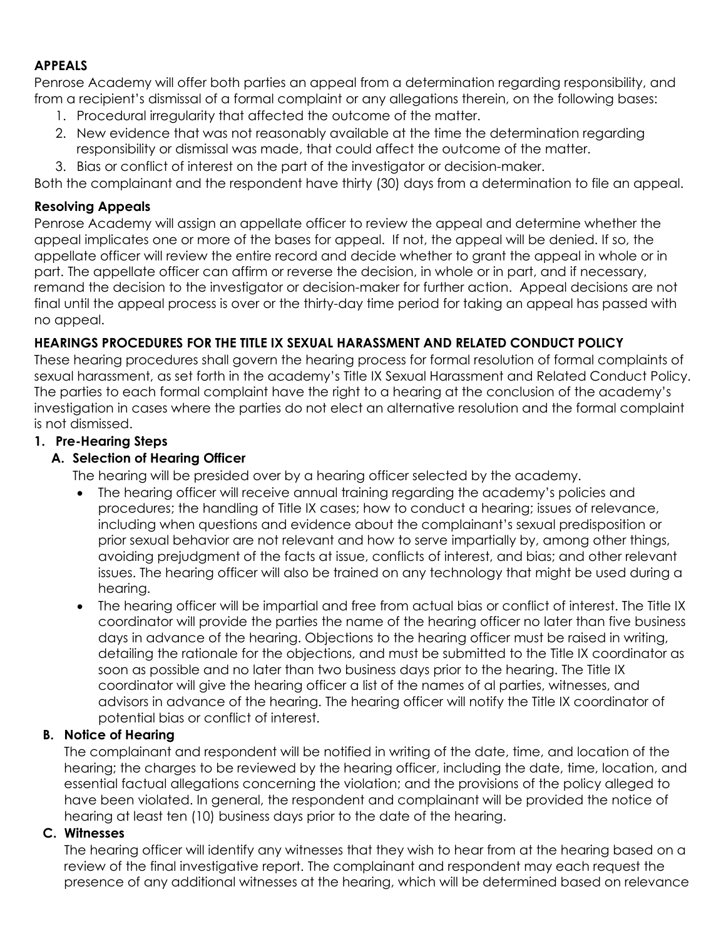## **APPEALS**

Penrose Academy will offer both parties an appeal from a determination regarding responsibility, and from a recipient's dismissal of a formal complaint or any allegations therein, on the following bases:

- 1. Procedural irregularity that affected the outcome of the matter.
- 2. New evidence that was not reasonably available at the time the determination regarding responsibility or dismissal was made, that could affect the outcome of the matter.
- 3. Bias or conflict of interest on the part of the investigator or decision-maker.

Both the complainant and the respondent have thirty (30) days from a determination to file an appeal.

## **Resolving Appeals**

Penrose Academy will assign an appellate officer to review the appeal and determine whether the appeal implicates one or more of the bases for appeal. If not, the appeal will be denied. If so, the appellate officer will review the entire record and decide whether to grant the appeal in whole or in part. The appellate officer can affirm or reverse the decision, in whole or in part, and if necessary, remand the decision to the investigator or decision-maker for further action. Appeal decisions are not final until the appeal process is over or the thirty-day time period for taking an appeal has passed with no appeal.

## **HEARINGS PROCEDURES FOR THE TITLE IX SEXUAL HARASSMENT AND RELATED CONDUCT POLICY**

These hearing procedures shall govern the hearing process for formal resolution of formal complaints of sexual harassment, as set forth in the academy's Title IX Sexual Harassment and Related Conduct Policy. The parties to each formal complaint have the right to a hearing at the conclusion of the academy's investigation in cases where the parties do not elect an alternative resolution and the formal complaint is not dismissed.

## **1. Pre-Hearing Steps**

## **A. Selection of Hearing Officer**

The hearing will be presided over by a hearing officer selected by the academy.

- The hearing officer will receive annual training regarding the academy's policies and procedures; the handling of Title IX cases; how to conduct a hearing; issues of relevance, including when questions and evidence about the complainant's sexual predisposition or prior sexual behavior are not relevant and how to serve impartially by, among other things, avoiding prejudgment of the facts at issue, conflicts of interest, and bias; and other relevant issues. The hearing officer will also be trained on any technology that might be used during a hearing.
- The hearing officer will be impartial and free from actual bias or conflict of interest. The Title IX coordinator will provide the parties the name of the hearing officer no later than five business days in advance of the hearing. Objections to the hearing officer must be raised in writing, detailing the rationale for the objections, and must be submitted to the Title IX coordinator as soon as possible and no later than two business days prior to the hearing. The Title IX coordinator will give the hearing officer a list of the names of al parties, witnesses, and advisors in advance of the hearing. The hearing officer will notify the Title IX coordinator of potential bias or conflict of interest.

## **B. Notice of Hearing**

The complainant and respondent will be notified in writing of the date, time, and location of the hearing; the charges to be reviewed by the hearing officer, including the date, time, location, and essential factual allegations concerning the violation; and the provisions of the policy alleged to have been violated. In general, the respondent and complainant will be provided the notice of hearing at least ten (10) business days prior to the date of the hearing.

#### **C. Witnesses**

The hearing officer will identify any witnesses that they wish to hear from at the hearing based on a review of the final investigative report. The complainant and respondent may each request the presence of any additional witnesses at the hearing, which will be determined based on relevance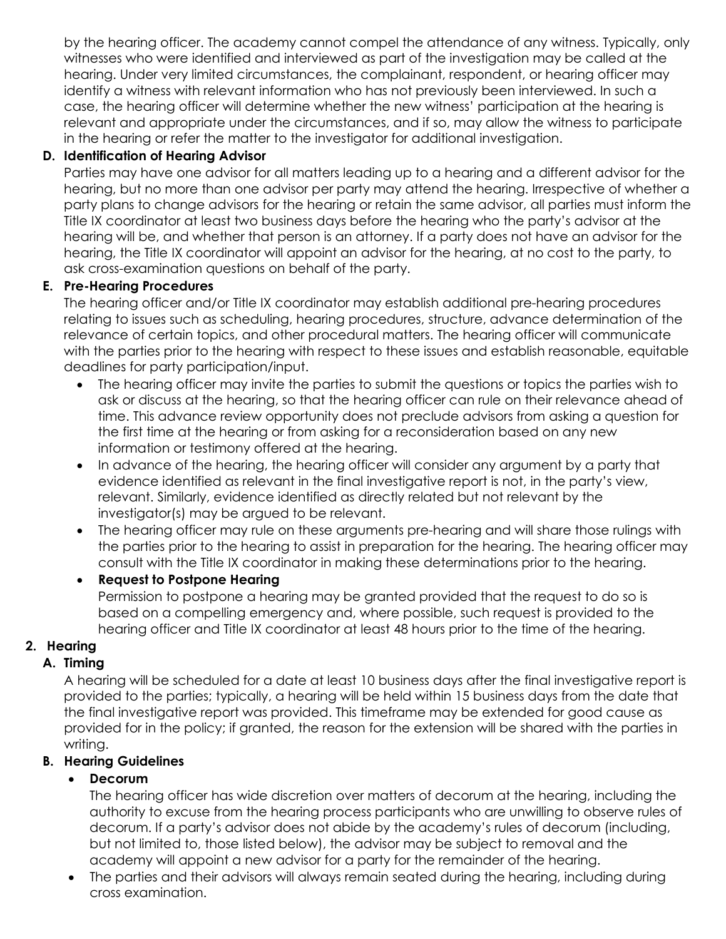by the hearing officer. The academy cannot compel the attendance of any witness. Typically, only witnesses who were identified and interviewed as part of the investigation may be called at the hearing. Under very limited circumstances, the complainant, respondent, or hearing officer may identify a witness with relevant information who has not previously been interviewed. In such a case, the hearing officer will determine whether the new witness' participation at the hearing is relevant and appropriate under the circumstances, and if so, may allow the witness to participate in the hearing or refer the matter to the investigator for additional investigation.

## **D. Identification of Hearing Advisor**

Parties may have one advisor for all matters leading up to a hearing and a different advisor for the hearing, but no more than one advisor per party may attend the hearing. Irrespective of whether a party plans to change advisors for the hearing or retain the same advisor, all parties must inform the Title IX coordinator at least two business days before the hearing who the party's advisor at the hearing will be, and whether that person is an attorney. If a party does not have an advisor for the hearing, the Title IX coordinator will appoint an advisor for the hearing, at no cost to the party, to ask cross-examination questions on behalf of the party.

## **E. Pre-Hearing Procedures**

The hearing officer and/or Title IX coordinator may establish additional pre-hearing procedures relating to issues such as scheduling, hearing procedures, structure, advance determination of the relevance of certain topics, and other procedural matters. The hearing officer will communicate with the parties prior to the hearing with respect to these issues and establish reasonable, equitable deadlines for party participation/input.

- The hearing officer may invite the parties to submit the questions or topics the parties wish to ask or discuss at the hearing, so that the hearing officer can rule on their relevance ahead of time. This advance review opportunity does not preclude advisors from asking a question for the first time at the hearing or from asking for a reconsideration based on any new information or testimony offered at the hearing.
- In advance of the hearing, the hearing officer will consider any argument by a party that evidence identified as relevant in the final investigative report is not, in the party's view, relevant. Similarly, evidence identified as directly related but not relevant by the investigator(s) may be argued to be relevant.
- The hearing officer may rule on these arguments pre-hearing and will share those rulings with the parties prior to the hearing to assist in preparation for the hearing. The hearing officer may consult with the Title IX coordinator in making these determinations prior to the hearing.

## • **Request to Postpone Hearing**

Permission to postpone a hearing may be granted provided that the request to do so is based on a compelling emergency and, where possible, such request is provided to the hearing officer and Title IX coordinator at least 48 hours prior to the time of the hearing.

## **2. Hearing**

## **A. Timing**

A hearing will be scheduled for a date at least 10 business days after the final investigative report is provided to the parties; typically, a hearing will be held within 15 business days from the date that the final investigative report was provided. This timeframe may be extended for good cause as provided for in the policy; if granted, the reason for the extension will be shared with the parties in writing.

## **B. Hearing Guidelines**

## • **Decorum**

The hearing officer has wide discretion over matters of decorum at the hearing, including the authority to excuse from the hearing process participants who are unwilling to observe rules of decorum. If a party's advisor does not abide by the academy's rules of decorum (including, but not limited to, those listed below), the advisor may be subject to removal and the academy will appoint a new advisor for a party for the remainder of the hearing.

• The parties and their advisors will always remain seated during the hearing, including during cross examination.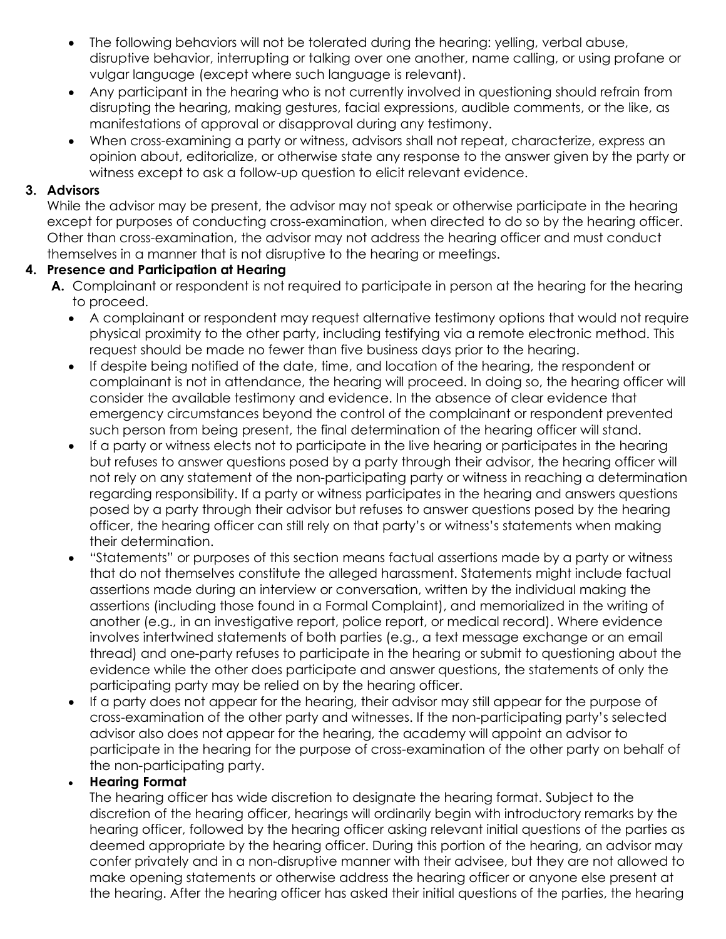- The following behaviors will not be tolerated during the hearing: yelling, verbal abuse, disruptive behavior, interrupting or talking over one another, name calling, or using profane or vulgar language (except where such language is relevant).
- Any participant in the hearing who is not currently involved in questioning should refrain from disrupting the hearing, making gestures, facial expressions, audible comments, or the like, as manifestations of approval or disapproval during any testimony.
- When cross-examining a party or witness, advisors shall not repeat, characterize, express an opinion about, editorialize, or otherwise state any response to the answer given by the party or witness except to ask a follow-up question to elicit relevant evidence.

#### **3. Advisors**

While the advisor may be present, the advisor may not speak or otherwise participate in the hearing except for purposes of conducting cross-examination, when directed to do so by the hearing officer. Other than cross-examination, the advisor may not address the hearing officer and must conduct themselves in a manner that is not disruptive to the hearing or meetings.

#### **4. Presence and Participation at Hearing**

- **A.** Complainant or respondent is not required to participate in person at the hearing for the hearing to proceed.
	- A complainant or respondent may request alternative testimony options that would not require physical proximity to the other party, including testifying via a remote electronic method. This request should be made no fewer than five business days prior to the hearing.
	- If despite being notified of the date, time, and location of the hearing, the respondent or complainant is not in attendance, the hearing will proceed. In doing so, the hearing officer will consider the available testimony and evidence. In the absence of clear evidence that emergency circumstances beyond the control of the complainant or respondent prevented such person from being present, the final determination of the hearing officer will stand.
	- If a party or witness elects not to participate in the live hearing or participates in the hearing but refuses to answer questions posed by a party through their advisor, the hearing officer will not rely on any statement of the non-participating party or witness in reaching a determination regarding responsibility. If a party or witness participates in the hearing and answers questions posed by a party through their advisor but refuses to answer questions posed by the hearing officer, the hearing officer can still rely on that party's or witness's statements when making their determination.
	- "Statements" or purposes of this section means factual assertions made by a party or witness that do not themselves constitute the alleged harassment. Statements might include factual assertions made during an interview or conversation, written by the individual making the assertions (including those found in a Formal Complaint), and memorialized in the writing of another (e.g., in an investigative report, police report, or medical record). Where evidence involves intertwined statements of both parties (e.g., a text message exchange or an email thread) and one-party refuses to participate in the hearing or submit to questioning about the evidence while the other does participate and answer questions, the statements of only the participating party may be relied on by the hearing officer.
	- If a party does not appear for the hearing, their advisor may still appear for the purpose of cross-examination of the other party and witnesses. If the non-participating party's selected advisor also does not appear for the hearing, the academy will appoint an advisor to participate in the hearing for the purpose of cross-examination of the other party on behalf of the non-participating party.

#### • **Hearing Format**

The hearing officer has wide discretion to designate the hearing format. Subject to the discretion of the hearing officer, hearings will ordinarily begin with introductory remarks by the hearing officer, followed by the hearing officer asking relevant initial questions of the parties as deemed appropriate by the hearing officer. During this portion of the hearing, an advisor may confer privately and in a non-disruptive manner with their advisee, but they are not allowed to make opening statements or otherwise address the hearing officer or anyone else present at the hearing. After the hearing officer has asked their initial questions of the parties, the hearing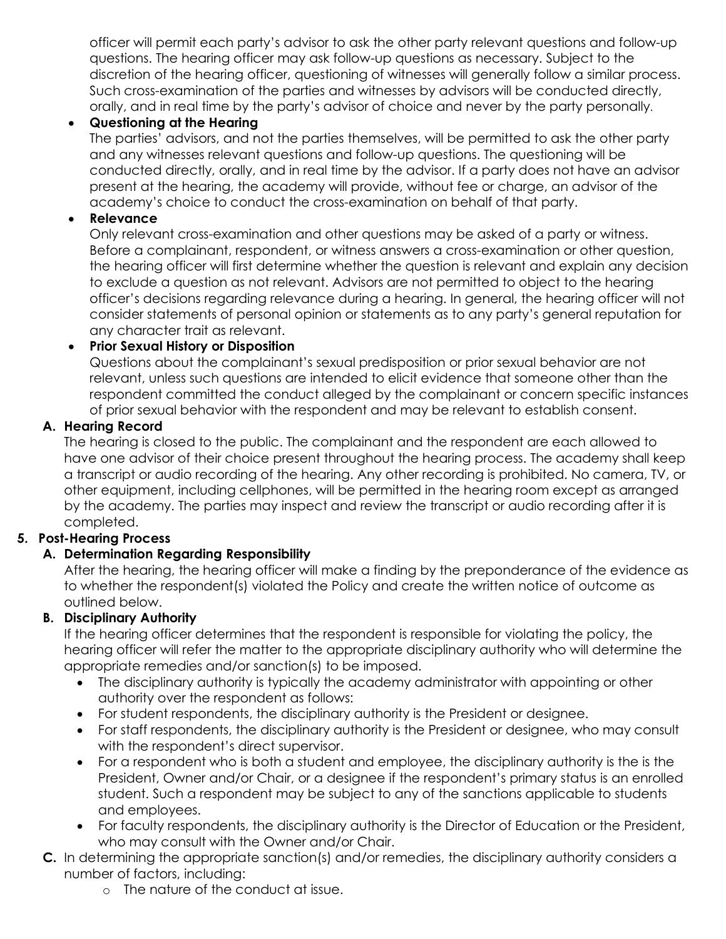officer will permit each party's advisor to ask the other party relevant questions and follow-up questions. The hearing officer may ask follow-up questions as necessary. Subject to the discretion of the hearing officer, questioning of witnesses will generally follow a similar process. Such cross-examination of the parties and witnesses by advisors will be conducted directly, orally, and in real time by the party's advisor of choice and never by the party personally.

## • **Questioning at the Hearing**

The parties' advisors, and not the parties themselves, will be permitted to ask the other party and any witnesses relevant questions and follow-up questions. The questioning will be conducted directly, orally, and in real time by the advisor. If a party does not have an advisor present at the hearing, the academy will provide, without fee or charge, an advisor of the academy's choice to conduct the cross-examination on behalf of that party.

## • **Relevance**

Only relevant cross-examination and other questions may be asked of a party or witness. Before a complainant, respondent, or witness answers a cross-examination or other question, the hearing officer will first determine whether the question is relevant and explain any decision to exclude a question as not relevant. Advisors are not permitted to object to the hearing officer's decisions regarding relevance during a hearing. In general, the hearing officer will not consider statements of personal opinion or statements as to any party's general reputation for any character trait as relevant.

## • **Prior Sexual History or Disposition**

Questions about the complainant's sexual predisposition or prior sexual behavior are not relevant, unless such questions are intended to elicit evidence that someone other than the respondent committed the conduct alleged by the complainant or concern specific instances of prior sexual behavior with the respondent and may be relevant to establish consent.

## **A. Hearing Record**

The hearing is closed to the public. The complainant and the respondent are each allowed to have one advisor of their choice present throughout the hearing process. The academy shall keep a transcript or audio recording of the hearing. Any other recording is prohibited. No camera, TV, or other equipment, including cellphones, will be permitted in the hearing room except as arranged by the academy. The parties may inspect and review the transcript or audio recording after it is completed.

## **5. Post-Hearing Process**

## **A. Determination Regarding Responsibility**

After the hearing, the hearing officer will make a finding by the preponderance of the evidence as to whether the respondent(s) violated the Policy and create the written notice of outcome as outlined below.

## **B. Disciplinary Authority**

If the hearing officer determines that the respondent is responsible for violating the policy, the hearing officer will refer the matter to the appropriate disciplinary authority who will determine the appropriate remedies and/or sanction(s) to be imposed.

- The disciplinary authority is typically the academy administrator with appointing or other authority over the respondent as follows:
- For student respondents, the disciplinary authority is the President or designee.
- For staff respondents, the disciplinary authority is the President or designee, who may consult with the respondent's direct supervisor.
- For a respondent who is both a student and employee, the disciplinary authority is the is the President, Owner and/or Chair, or a designee if the respondent's primary status is an enrolled student. Such a respondent may be subject to any of the sanctions applicable to students and employees.
- For faculty respondents, the disciplinary authority is the Director of Education or the President, who may consult with the Owner and/or Chair.
- **C.** In determining the appropriate sanction(s) and/or remedies, the disciplinary authority considers a number of factors, including:
	- o The nature of the conduct at issue.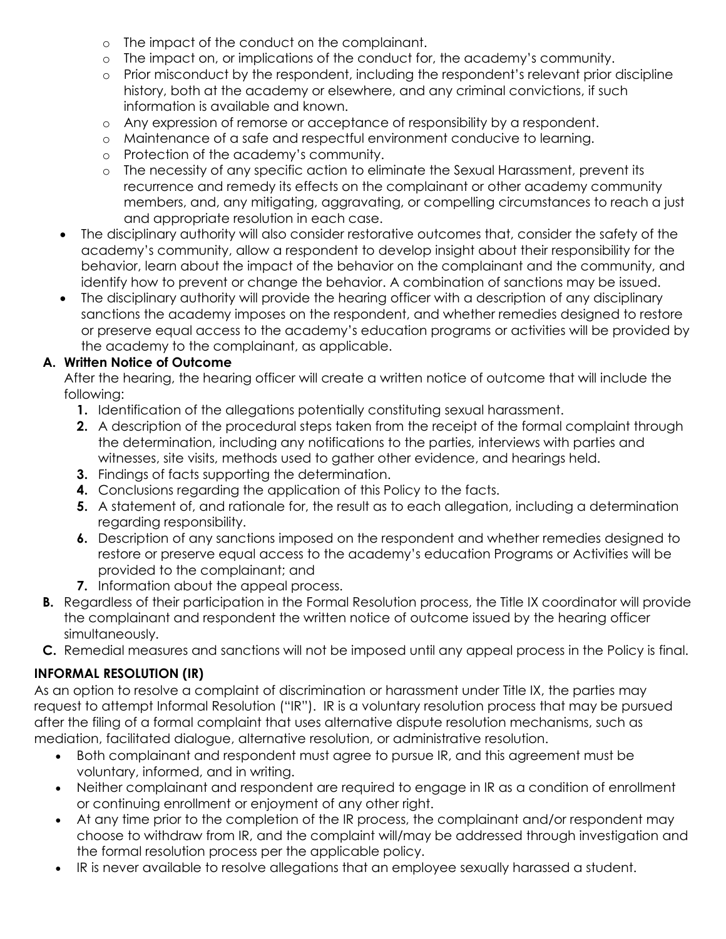- o The impact of the conduct on the complainant.
- o The impact on, or implications of the conduct for, the academy's community.
- o Prior misconduct by the respondent, including the respondent's relevant prior discipline history, both at the academy or elsewhere, and any criminal convictions, if such information is available and known.
- o Any expression of remorse or acceptance of responsibility by a respondent.
- o Maintenance of a safe and respectful environment conducive to learning.
- o Protection of the academy's community.
- o The necessity of any specific action to eliminate the Sexual Harassment, prevent its recurrence and remedy its effects on the complainant or other academy community members, and, any mitigating, aggravating, or compelling circumstances to reach a just and appropriate resolution in each case.
- The disciplinary authority will also consider restorative outcomes that, consider the safety of the academy's community, allow a respondent to develop insight about their responsibility for the behavior, learn about the impact of the behavior on the complainant and the community, and identify how to prevent or change the behavior. A combination of sanctions may be issued.
- The disciplinary authority will provide the hearing officer with a description of any disciplinary sanctions the academy imposes on the respondent, and whether remedies designed to restore or preserve equal access to the academy's education programs or activities will be provided by the academy to the complainant, as applicable.

## **A. Written Notice of Outcome**

After the hearing, the hearing officer will create a written notice of outcome that will include the following:

- **1.** Identification of the allegations potentially constituting sexual harassment.
- **2.** A description of the procedural steps taken from the receipt of the formal complaint through the determination, including any notifications to the parties, interviews with parties and witnesses, site visits, methods used to gather other evidence, and hearings held.
- **3.** Findings of facts supporting the determination.
- **4.** Conclusions regarding the application of this Policy to the facts.
- **5.** A statement of, and rationale for, the result as to each allegation, including a determination regarding responsibility.
- **6.** Description of any sanctions imposed on the respondent and whether remedies designed to restore or preserve equal access to the academy's education Programs or Activities will be provided to the complainant; and
- **7.** Information about the appeal process.
- **B.** Regardless of their participation in the Formal Resolution process, the Title IX coordinator will provide the complainant and respondent the written notice of outcome issued by the hearing officer simultaneously.
- **C.** Remedial measures and sanctions will not be imposed until any appeal process in the Policy is final.

## **INFORMAL RESOLUTION (IR)**

As an option to resolve a complaint of discrimination or harassment under Title IX, the parties may request to attempt Informal Resolution ("IR"). IR is a voluntary resolution process that may be pursued after the filing of a formal complaint that uses alternative dispute resolution mechanisms, such as mediation, facilitated dialogue, alternative resolution, or administrative resolution.

- Both complainant and respondent must agree to pursue IR, and this agreement must be voluntary, informed, and in writing.
- Neither complainant and respondent are required to engage in IR as a condition of enrollment or continuing enrollment or enjoyment of any other right.
- At any time prior to the completion of the IR process, the complainant and/or respondent may choose to withdraw from IR, and the complaint will/may be addressed through investigation and the formal resolution process per the applicable policy.
- IR is never available to resolve allegations that an employee sexually harassed a student.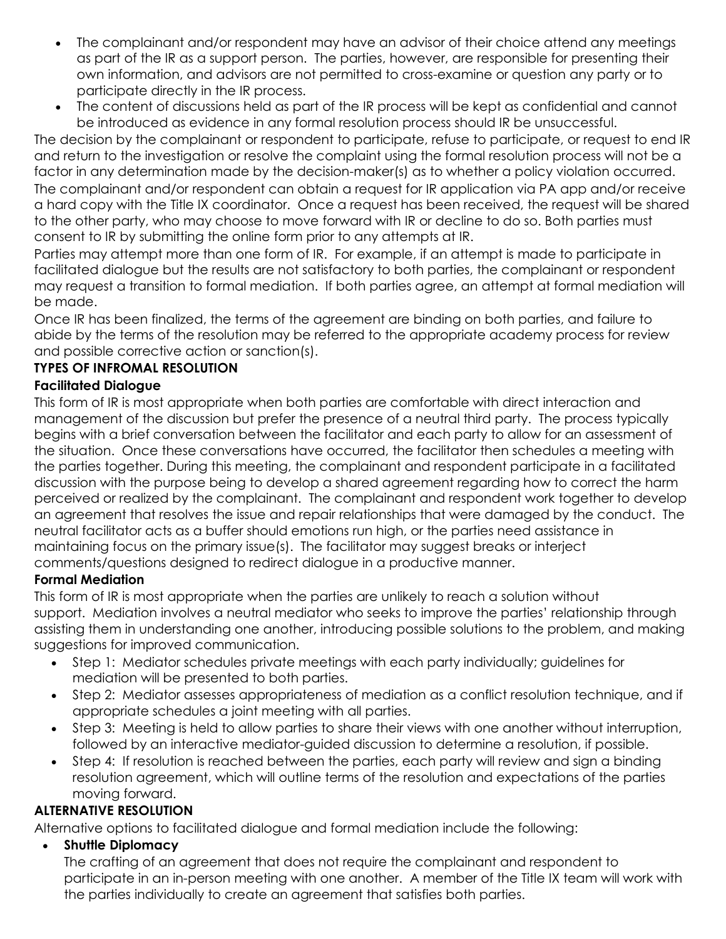- The complainant and/or respondent may have an advisor of their choice attend any meetings as part of the IR as a support person. The parties, however, are responsible for presenting their own information, and advisors are not permitted to cross-examine or question any party or to participate directly in the IR process.
- The content of discussions held as part of the IR process will be kept as confidential and cannot be introduced as evidence in any formal resolution process should IR be unsuccessful.

The decision by the complainant or respondent to participate, refuse to participate, or request to end IR and return to the investigation or resolve the complaint using the formal resolution process will not be a factor in any determination made by the decision-maker(s) as to whether a policy violation occurred. The complainant and/or respondent can obtain a request for IR application via PA app and/or receive a hard copy with the Title IX coordinator. Once a request has been received, the request will be shared to the other party, who may choose to move forward with IR or decline to do so. Both parties must consent to IR by submitting the online form prior to any attempts at IR.

Parties may attempt more than one form of IR. For example, if an attempt is made to participate in facilitated dialogue but the results are not satisfactory to both parties, the complainant or respondent may request a transition to formal mediation. If both parties agree, an attempt at formal mediation will be made.

Once IR has been finalized, the terms of the agreement are binding on both parties, and failure to abide by the terms of the resolution may be referred to the appropriate academy process for review and possible corrective action or sanction(s).

## **TYPES OF INFROMAL RESOLUTION**

## **Facilitated Dialogue**

This form of IR is most appropriate when both parties are comfortable with direct interaction and management of the discussion but prefer the presence of a neutral third party. The process typically begins with a brief conversation between the facilitator and each party to allow for an assessment of the situation. Once these conversations have occurred, the facilitator then schedules a meeting with the parties together. During this meeting, the complainant and respondent participate in a facilitated discussion with the purpose being to develop a shared agreement regarding how to correct the harm perceived or realized by the complainant. The complainant and respondent work together to develop an agreement that resolves the issue and repair relationships that were damaged by the conduct. The neutral facilitator acts as a buffer should emotions run high, or the parties need assistance in maintaining focus on the primary issue(s). The facilitator may suggest breaks or interject comments/questions designed to redirect dialogue in a productive manner.

## **Formal Mediation**

This form of IR is most appropriate when the parties are unlikely to reach a solution without support. Mediation involves a neutral mediator who seeks to improve the parties' relationship through assisting them in understanding one another, introducing possible solutions to the problem, and making suggestions for improved communication.

- Step 1: Mediator schedules private meetings with each party individually; guidelines for mediation will be presented to both parties.
- Step 2: Mediator assesses appropriateness of mediation as a conflict resolution technique, and if appropriate schedules a joint meeting with all parties.
- Step 3: Meeting is held to allow parties to share their views with one another without interruption, followed by an interactive mediator-guided discussion to determine a resolution, if possible.
- Step 4: If resolution is reached between the parties, each party will review and sign a binding resolution agreement, which will outline terms of the resolution and expectations of the parties moving forward.

## **ALTERNATIVE RESOLUTION**

Alternative options to facilitated dialogue and formal mediation include the following:

• **Shuttle Diplomacy**

The crafting of an agreement that does not require the complainant and respondent to participate in an in-person meeting with one another. A member of the Title IX team will work with the parties individually to create an agreement that satisfies both parties.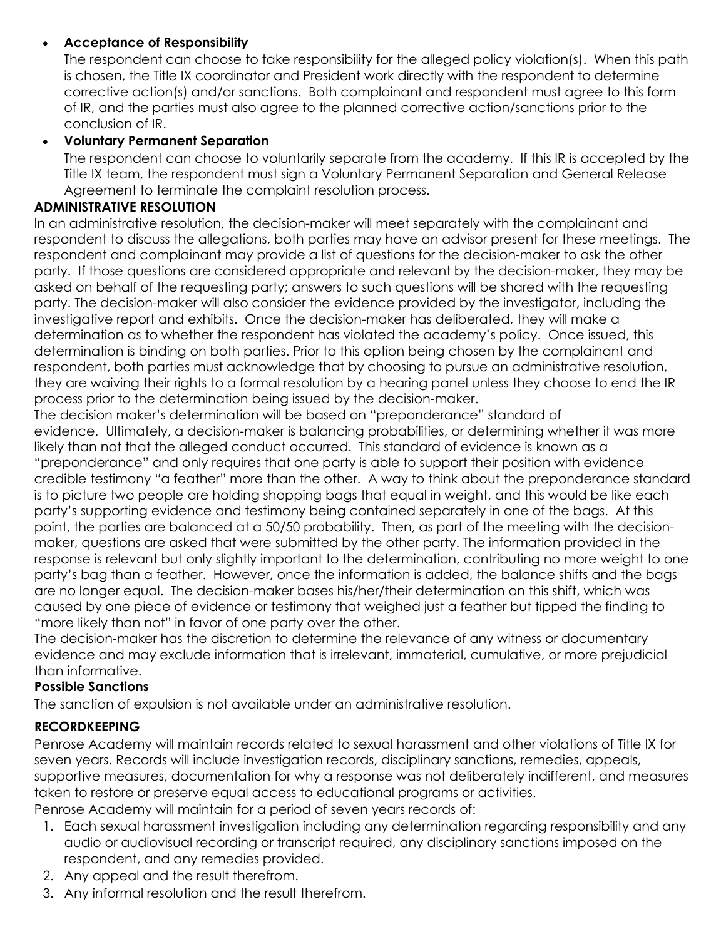## • **Acceptance of Responsibility**

The respondent can choose to take responsibility for the alleged policy violation(s). When this path is chosen, the Title IX coordinator and President work directly with the respondent to determine corrective action(s) and/or sanctions. Both complainant and respondent must agree to this form of IR, and the parties must also agree to the planned corrective action/sanctions prior to the conclusion of IR.

#### • **Voluntary Permanent Separation**

The respondent can choose to voluntarily separate from the academy. If this IR is accepted by the Title IX team, the respondent must sign a Voluntary Permanent Separation and General Release Agreement to terminate the complaint resolution process.

#### **ADMINISTRATIVE RESOLUTION**

In an administrative resolution, the decision-maker will meet separately with the complainant and respondent to discuss the allegations, both parties may have an advisor present for these meetings. The respondent and complainant may provide a list of questions for the decision-maker to ask the other party. If those questions are considered appropriate and relevant by the decision-maker, they may be asked on behalf of the requesting party; answers to such questions will be shared with the requesting party. The decision-maker will also consider the evidence provided by the investigator, including the investigative report and exhibits. Once the decision-maker has deliberated, they will make a determination as to whether the respondent has violated the academy's policy. Once issued, this determination is binding on both parties. Prior to this option being chosen by the complainant and respondent, both parties must acknowledge that by choosing to pursue an administrative resolution, they are waiving their rights to a formal resolution by a hearing panel unless they choose to end the IR process prior to the determination being issued by the decision-maker.

The decision maker's determination will be based on "preponderance" standard of evidence. Ultimately, a decision-maker is balancing probabilities, or determining whether it was more likely than not that the alleged conduct occurred. This standard of evidence is known as a "preponderance" and only requires that one party is able to support their position with evidence credible testimony "a feather" more than the other. A way to think about the preponderance standard is to picture two people are holding shopping bags that equal in weight, and this would be like each party's supporting evidence and testimony being contained separately in one of the bags. At this point, the parties are balanced at a 50/50 probability. Then, as part of the meeting with the decisionmaker, questions are asked that were submitted by the other party. The information provided in the response is relevant but only slightly important to the determination, contributing no more weight to one party's bag than a feather. However, once the information is added, the balance shifts and the bags are no longer equal. The decision-maker bases his/her/their determination on this shift, which was caused by one piece of evidence or testimony that weighed just a feather but tipped the finding to "more likely than not" in favor of one party over the other.

The decision-maker has the discretion to determine the relevance of any witness or documentary evidence and may exclude information that is irrelevant, immaterial, cumulative, or more prejudicial than informative.

#### **Possible Sanctions**

The sanction of expulsion is not available under an administrative resolution.

## **RECORDKEEPING**

Penrose Academy will maintain records related to sexual harassment and other violations of Title IX for seven years. Records will include investigation records, disciplinary sanctions, remedies, appeals, supportive measures, documentation for why a response was not deliberately indifferent, and measures taken to restore or preserve equal access to educational programs or activities.

Penrose Academy will maintain for a period of seven years records of:

- 1. Each sexual harassment investigation including any determination regarding responsibility and any audio or audiovisual recording or transcript required, any disciplinary sanctions imposed on the respondent, and any remedies provided.
- 2. Any appeal and the result therefrom.
- 3. Any informal resolution and the result therefrom.